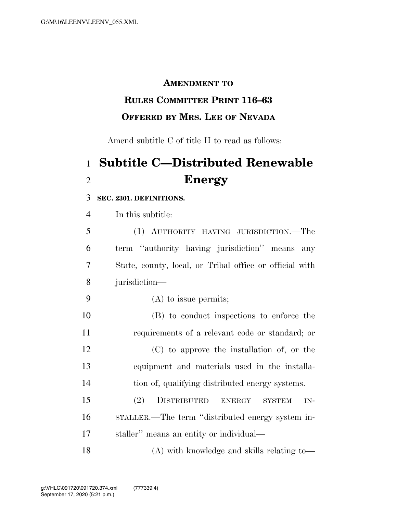### **AMENDMENT TO**

## **RULES COMMITTEE PRINT 116–63 OFFERED BY MRS. LEE OF NEVADA**

Amend subtitle C of title II to read as follows:

# **Subtitle C—Distributed Renewable Energy**

#### **SEC. 2301. DEFINITIONS.**

In this subtitle:

| 5 | (1) AUTHORITY HAVING JURISDICTION.—The                  |
|---|---------------------------------------------------------|
| 6 | term "authority having jurisdiction" means any          |
| 7 | State, county, local, or Tribal office or official with |
|   | 8 jurisdiction—                                         |

- (A) to issue permits;
- (B) to conduct inspections to enforce the requirements of a relevant code or standard; or (C) to approve the installation of, or the equipment and materials used in the installa-tion of, qualifying distributed energy systems.
- (2) DISTRIBUTED ENERGY SYSTEM IN- STALLER.—The term ''distributed energy system in-staller'' means an entity or individual—

(A) with knowledge and skills relating to—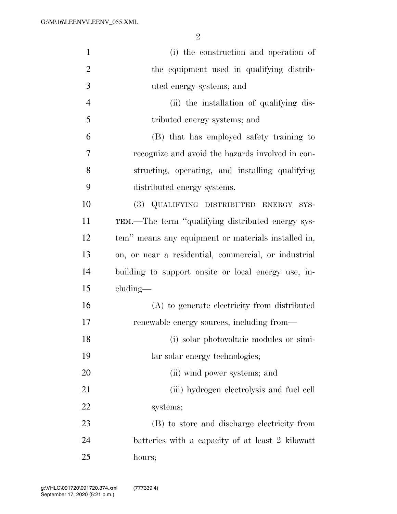| $\mathbf{1}$   | (i) the construction and operation of                |
|----------------|------------------------------------------------------|
| $\overline{2}$ | the equipment used in qualifying distrib-            |
| 3              | uted energy systems; and                             |
| $\overline{4}$ | (ii) the installation of qualifying dis-             |
| 5              | tributed energy systems; and                         |
| 6              | (B) that has employed safety training to             |
| 7              | recognize and avoid the hazards involved in con-     |
| 8              | structing, operating, and installing qualifying      |
| 9              | distributed energy systems.                          |
| 10             | (3) QUALIFYING DISTRIBUTED ENERGY SYS-               |
| 11             | TEM.—The term "qualifying distributed energy sys-    |
| 12             | tem" means any equipment or materials installed in,  |
| 13             | on, or near a residential, commercial, or industrial |
| 14             | building to support onsite or local energy use, in-  |
| 15             | $cluding$ —                                          |
| 16             | (A) to generate electricity from distributed         |
| 17             | renewable energy sources, including from-            |
| 18             | (i) solar photovoltaic modules or simi-              |
| 19             | lar solar energy technologies;                       |
| 20             | (ii) wind power systems; and                         |
| 21             | (iii) hydrogen electrolysis and fuel cell            |
| 22             | systems;                                             |
| 23             | (B) to store and discharge electricity from          |
| 24             | batteries with a capacity of at least 2 kilowatt     |
| 25             | hours;                                               |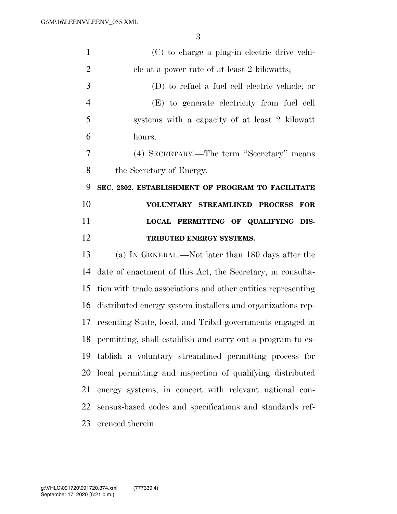| $\mathbf{1}$   | (C) to charge a plug-in electric drive vehi-                  |
|----------------|---------------------------------------------------------------|
| $\overline{2}$ | cle at a power rate of at least 2 kilowatts;                  |
| 3              | (D) to refuel a fuel cell electric vehicle; or                |
| $\overline{4}$ | (E) to generate electricity from fuel cell                    |
| 5              | systems with a capacity of at least 2 kilowatt                |
| 6              | hours.                                                        |
| 7              | (4) SECRETARY.—The term "Secretary" means                     |
| 8              | the Secretary of Energy.                                      |
| 9              | SEC. 2302. ESTABLISHMENT OF PROGRAM TO FACILITATE             |
| 10             | VOLUNTARY STREAMLINED PROCESS<br><b>FOR</b>                   |
| 11             | LOCAL PERMITTING OF QUALIFYING DIS-                           |
| 12             | TRIBUTED ENERGY SYSTEMS.                                      |
| 13             | (a) IN GENERAL.—Not later than 180 days after the             |
| 14             | date of enactment of this Act, the Secretary, in consulta-    |
| 15             | tion with trade associations and other entities representing  |
| 16             | distributed energy system installers and organizations rep-   |
| 17             | resenting State, local, and Tribal governments engaged in     |
|                | 18 permitting, shall establish and carry out a program to es- |
| 19             | tablish a voluntary streamlined permitting process for        |
| 20             | local permitting and inspection of qualifying distributed     |
| 21             |                                                               |
|                | energy systems, in concert with relevant national con-        |
| 22             | sensus-based codes and specifications and standards ref-      |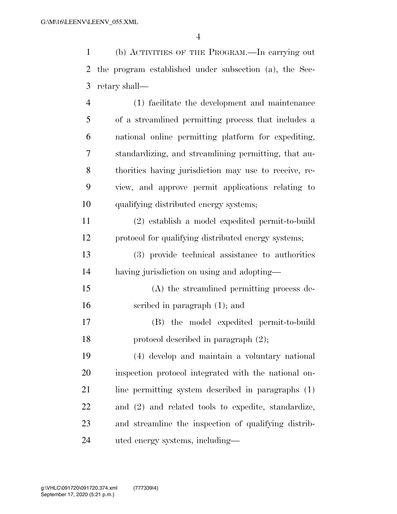(b) ACTIVITIES OF THE PROGRAM.—In carrying out the program established under subsection (a), the Sec-retary shall—

 (1) facilitate the development and maintenance of a streamlined permitting process that includes a national online permitting platform for expediting, standardizing, and streamlining permitting, that au- thorities having jurisdiction may use to receive, re- view, and approve permit applications relating to qualifying distributed energy systems; (2) establish a model expedited permit-to-build protocol for qualifying distributed energy systems;

 (3) provide technical assistance to authorities having jurisdiction on using and adopting—

 (A) the streamlined permitting process de-scribed in paragraph (1); and

 (B) the model expedited permit-to-build protocol described in paragraph (2);

 (4) develop and maintain a voluntary national inspection protocol integrated with the national on- line permitting system described in paragraphs (1) and (2) and related tools to expedite, standardize, and streamline the inspection of qualifying distrib-uted energy systems, including—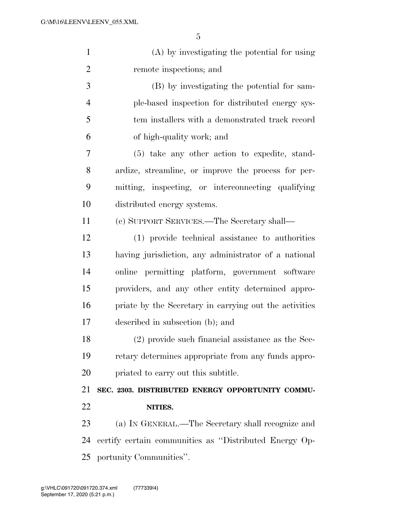| $\mathbf{1}$   | (A) by investigating the potential for using           |
|----------------|--------------------------------------------------------|
| $\overline{2}$ | remote inspections; and                                |
| 3              | (B) by investigating the potential for sam-            |
| $\overline{4}$ | ple-based inspection for distributed energy sys-       |
| 5              | tem installers with a demonstrated track record        |
| 6              | of high-quality work; and                              |
| 7              | (5) take any other action to expedite, stand-          |
| 8              | ardize, streamline, or improve the process for per-    |
| 9              | mitting, inspecting, or interconnecting qualifying     |
| 10             | distributed energy systems.                            |
| 11             | (c) SUPPORT SERVICES.—The Secretary shall—             |
| 12             | (1) provide technical assistance to authorities        |
| 13             | having jurisdiction, any administrator of a national   |
| 14             | online permitting platform, government software        |
| 15             | providers, and any other entity determined appro-      |
| 16             | priate by the Secretary in carrying out the activities |
| 17             | described in subsection (b); and                       |
| 18             | $(2)$ provide such financial assistance as the Sec-    |
| 19             | retary determines appropriate from any funds appro-    |
| 20             | priated to carry out this subtitle.                    |
| 21             | SEC. 2303. DISTRIBUTED ENERGY OPPORTUNITY COMMU-       |
| 22             | NITIES.                                                |
| 23             | (a) IN GENERAL.—The Secretary shall recognize and      |
| 24             | certify certain communities as "Distributed Energy Op- |
| 25             | portunity Communities".                                |